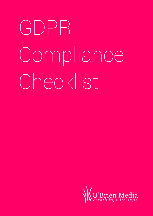# GDPR Compliance Checklist

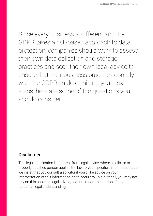Since every business is different and the GDPR takes a risk-based approach to data protection, companies should work to assess their own data collection and storage practices and seek their own legal advice to ensure that their business practices comply with the GDPR. In determining your next steps, here are some of the questions you should consider.

#### Disclaimer

This legal information is different from legal advice, where a solicitor or properly qualified person applies the law to your specific circumstances, so we insist that you consult a solicitor if you'd like advice on your interpretation of this information or its accuracy. In a nutshell, you may not rely on this paper as legal advice, nor as a recommendation of any particular legal understanding.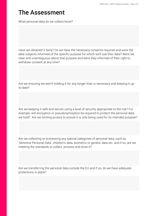# The Assessment

What personal data do we collect/store?

Have we obtained it fairly? Do we have the necessary consents required and were the data subjects informed of the specific purpose for which we'll use their data? Were we clear and unambiguous about that purpose and were they informed of their right to withdraw consent at any time?

Are we ensuring we aren't holding it for any longer than is necessary and keeping it upto-date?

Are we keeping it safe and secure using a level of security appropriate to the risk? For example, will encryption or pseudonymisation be required to protect the personal data we hold? Are we limiting access to ensure it is only being used for its intended purpose?

Are we collecting or processing any special categories of personal data, such as 'Sensitive Personal Data', children's data, biometric or genetic data etc. and if so, are we meeting the standards to collect, process and store it?

Are we transferring the personal data outside the EU and if so, do we have adequate protections in place?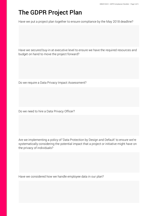# The GDPR Project Plan

Have we put a project plan together to ensure compliance by the May 2018 deadline?

Have we secured buy-in at executive level to ensure we have the required resources and budget on hand to move the project forward?

Do we require a Data Privacy Impact Assessment?

Do we need to hire a Data Privacy Officer?

Are we implementing a policy of 'Data Protection by Design and Default' to ensure we're systematically considering the potential impact that a project or initiative might have on the privacy of individuals?

Have we considered how we handle employee data in our plan?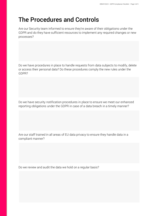# The Procedures and Controls

Are our Security team informed to ensure they're aware of their obligations under the GDPR and do they have sufficient resources to implement any required changes or new processes?

Do we have procedures in place to handle requests from data subjects to modify, delete or access their personal data? Do these procedures comply the new rules under the GDPR?

Do we have security notification procedures in place to ensure we meet our enhanced reporting obligations under the GDPR in case of a data breach in a timely manner?

Are our staff trained in all areas of EU data privacy to ensure they handle data in a compliant manner?

Do we review and audit the data we hold on a regular basis?